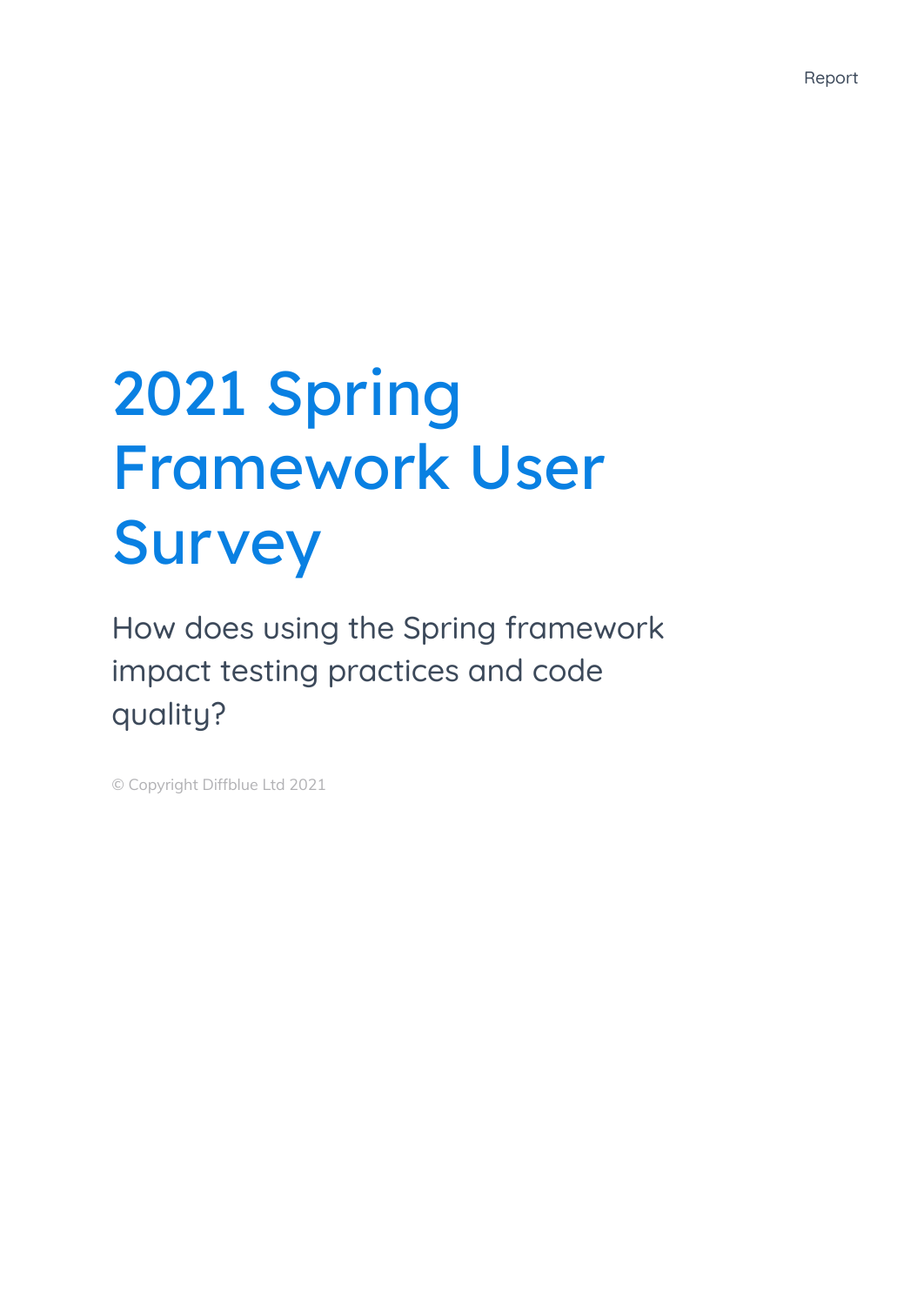# 2021 Spring Framework User Survey

How does using the Spring framework impact testing practices and code quality?

© Copyright Diffblue Ltd 2021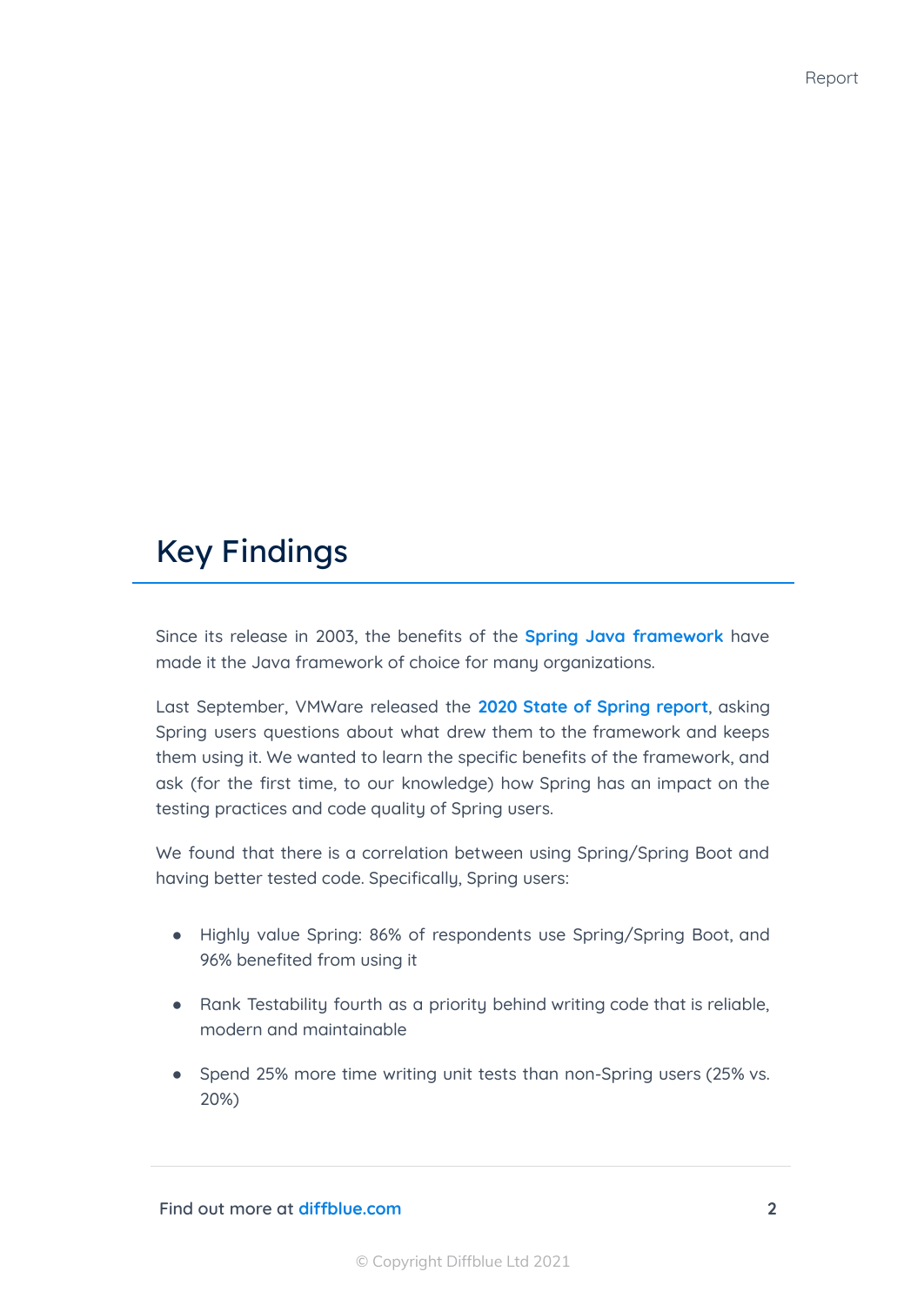## Key Findings

Since its release in 2003, the benefits of the **Spring Java [framework](https://spring.io/)** have made it the Java framework of choice for many organizations.

Last September, VMWare released the **2020 State of [Spring](https://tanzu.vmware.com/content/ebooks/state-of-spring-2020) report**, asking Spring users questions about what drew them to the framework and keeps them using it. We wanted to learn the specific benefits of the framework, and ask (for the first time, to our knowledge) how Spring has an impact on the testing practices and code quality of Spring users.

We found that there is a correlation between using Spring/Spring Boot and having better tested code. Specifically, Spring users:

- Highly value Spring: 86% of respondents use Spring/Spring Boot, and 96% benefited from using it
- Rank Testability fourth as a priority behind writing code that is reliable, modern and maintainable
- Spend 25% more time writing unit tests than non-Spring users (25% vs. 20%)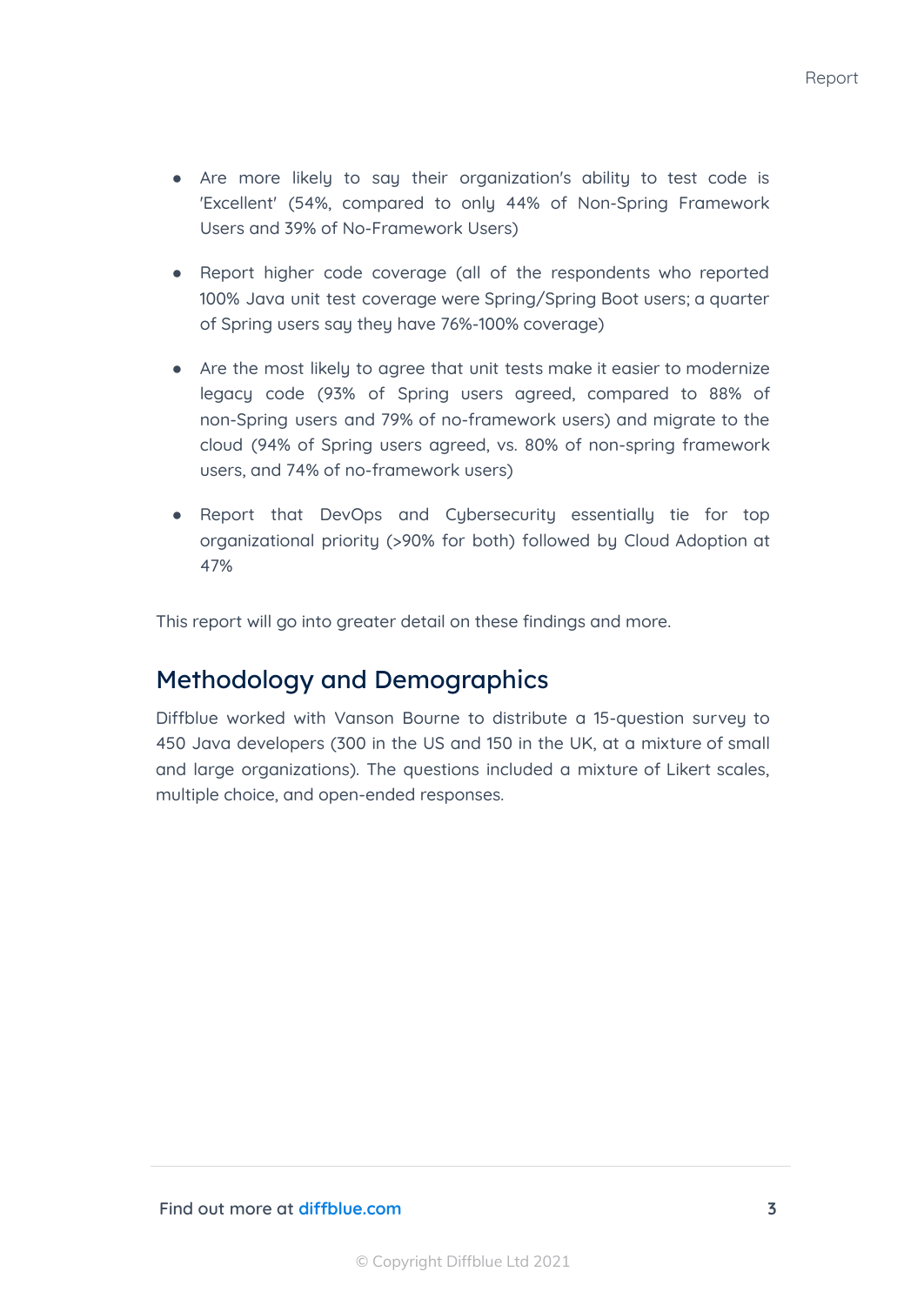- Are more likely to say their organization's ability to test code is 'Excellent' (54%, compared to only 44% of Non-Spring Framework Users and 39% of No-Framework Users)
- Report higher code coverage (all of the respondents who reported 100% Java unit test coverage were Spring/Spring Boot users; a quarter of Spring users say they have 76%-100% coverage)
- Are the most likely to agree that unit tests make it easier to modernize legacy code (93% of Spring users agreed, compared to 88% of non-Spring users and 79% of no-framework users) and migrate to the cloud (94% of Spring users agreed, vs. 80% of non-spring framework users, and 74% of no-framework users)
- Report that DevOps and Cybersecurity essentially tie for top organizational priority (>90% for both) followed by Cloud Adoption at 47%

This report will go into greater detail on these findings and more.

#### Methodology and Demographics

Diffblue worked with Vanson Bourne to distribute a 15-question survey to 450 Java developers (300 in the US and 150 in the UK, at a mixture of small and large organizations). The questions included a mixture of Likert scales, multiple choice, and open-ended responses.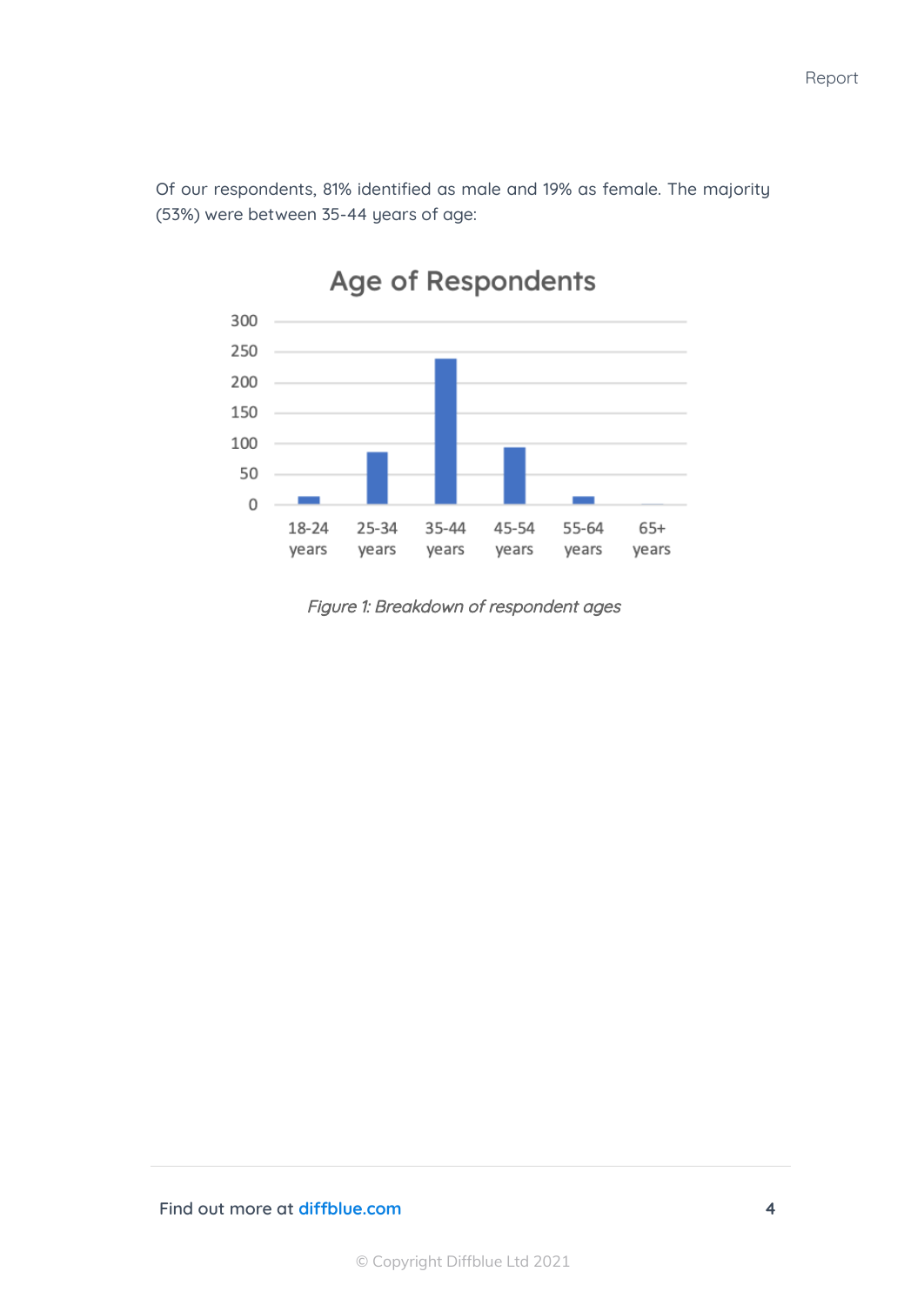Of our respondents, 81% identified as male and 19% as female. The majority (53%) were between 35-44 years of age:



### Age of Respondents

Figure 1: Breakdown of respondent ages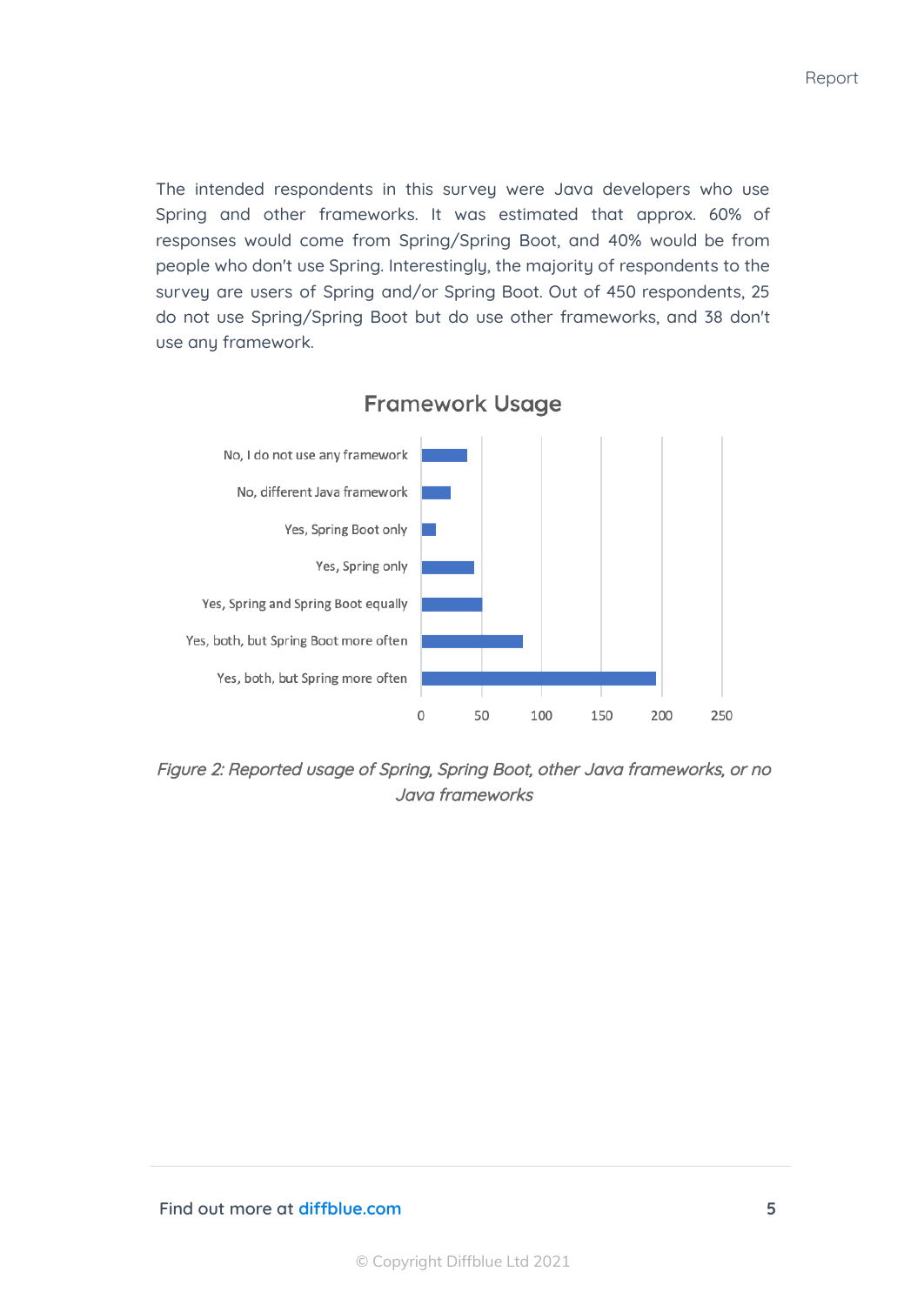The intended respondents in this survey were Java developers who use Spring and other frameworks. It was estimated that approx. 60% of responses would come from Spring/Spring Boot, and 40% would be from people who don't use Spring. Interestingly, the majority of respondents to the survey are users of Spring and/or Spring Boot. Out of 450 respondents, 25 do not use Spring/Spring Boot but do use other frameworks, and 38 don't use any framework.



**Framework Usage** 

Figure 2: Reported usage of Spring, Spring Boot, other Java frameworks, or no Java frameworks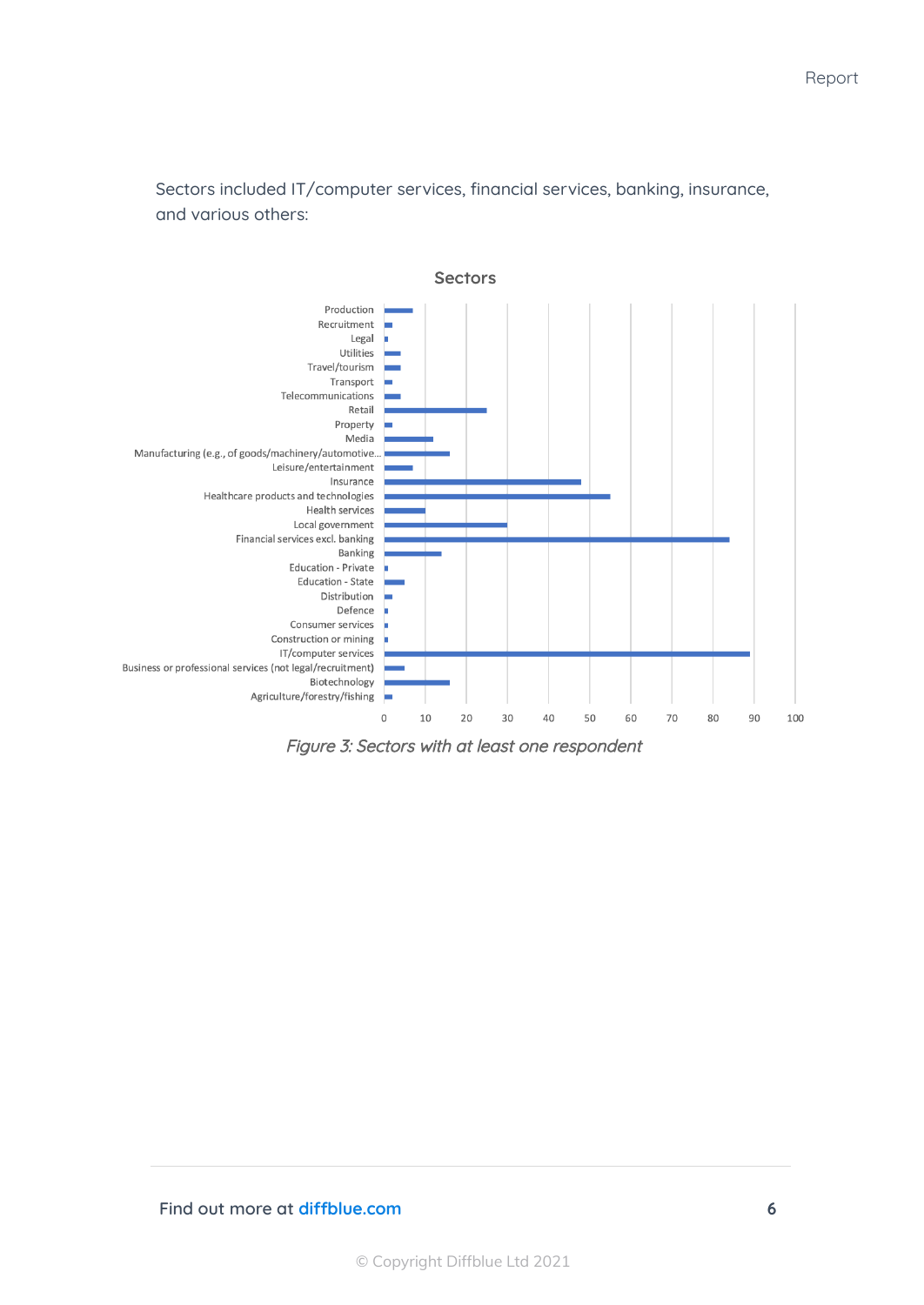Sectors included IT/computer services, financial services, banking, insurance, and various others:



Figure 3: Sectors with at least one respondent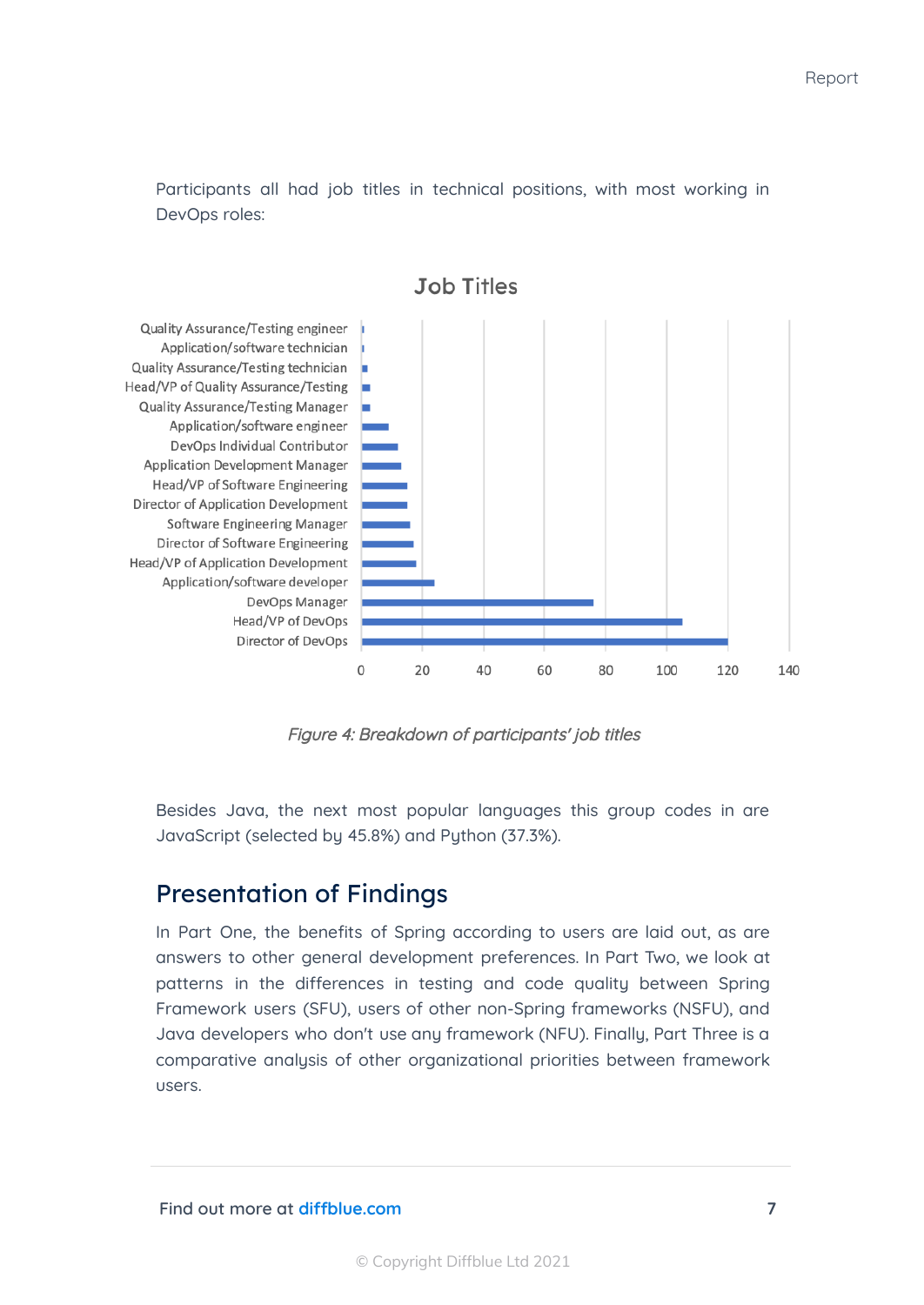Participants all had job titles in technical positions, with most working in DevOps roles:



**Job Titles** 

Figure 4: Breakdown of participants' job titles

Besides Java, the next most popular languages this group codes in are JavaScript (selected by 45.8%) and Python (37.3%).

#### Presentation of Findings

In Part One, the benefits of Spring according to users are laid out, as are answers to other general development preferences. In Part Two, we look at patterns in the differences in testing and code quality between Spring Framework users (SFU), users of other non-Spring frameworks (NSFU), and Java developers who don't use any framework (NFU). Finally, Part Three is a comparative analysis of other organizational priorities between framework users.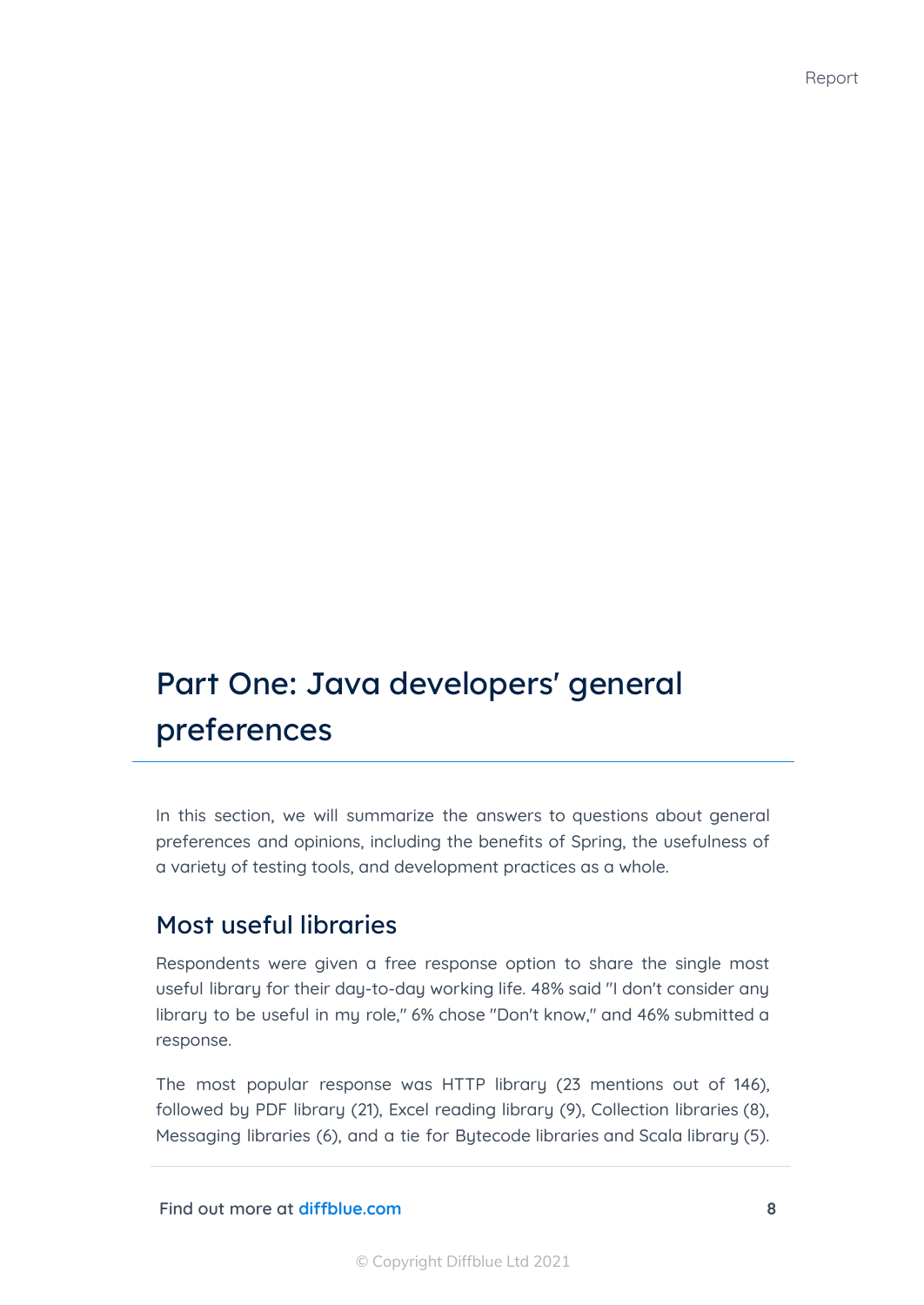# Part One: Java developers' general preferences

In this section, we will summarize the answers to questions about general preferences and opinions, including the benefits of Spring, the usefulness of a variety of testing tools, and development practices as a whole.

#### Most useful libraries

Respondents were given a free response option to share the single most useful library for their day-to-day working life. 48% said "I don't consider any library to be useful in my role," 6% chose "Don't know," and 46% submitted a response.

The most popular response was HTTP library (23 mentions out of 146), followed by PDF library (21), Excel reading library (9), Collection libraries (8), Messaging libraries (6), and a tie for Bytecode libraries and Scala library (5).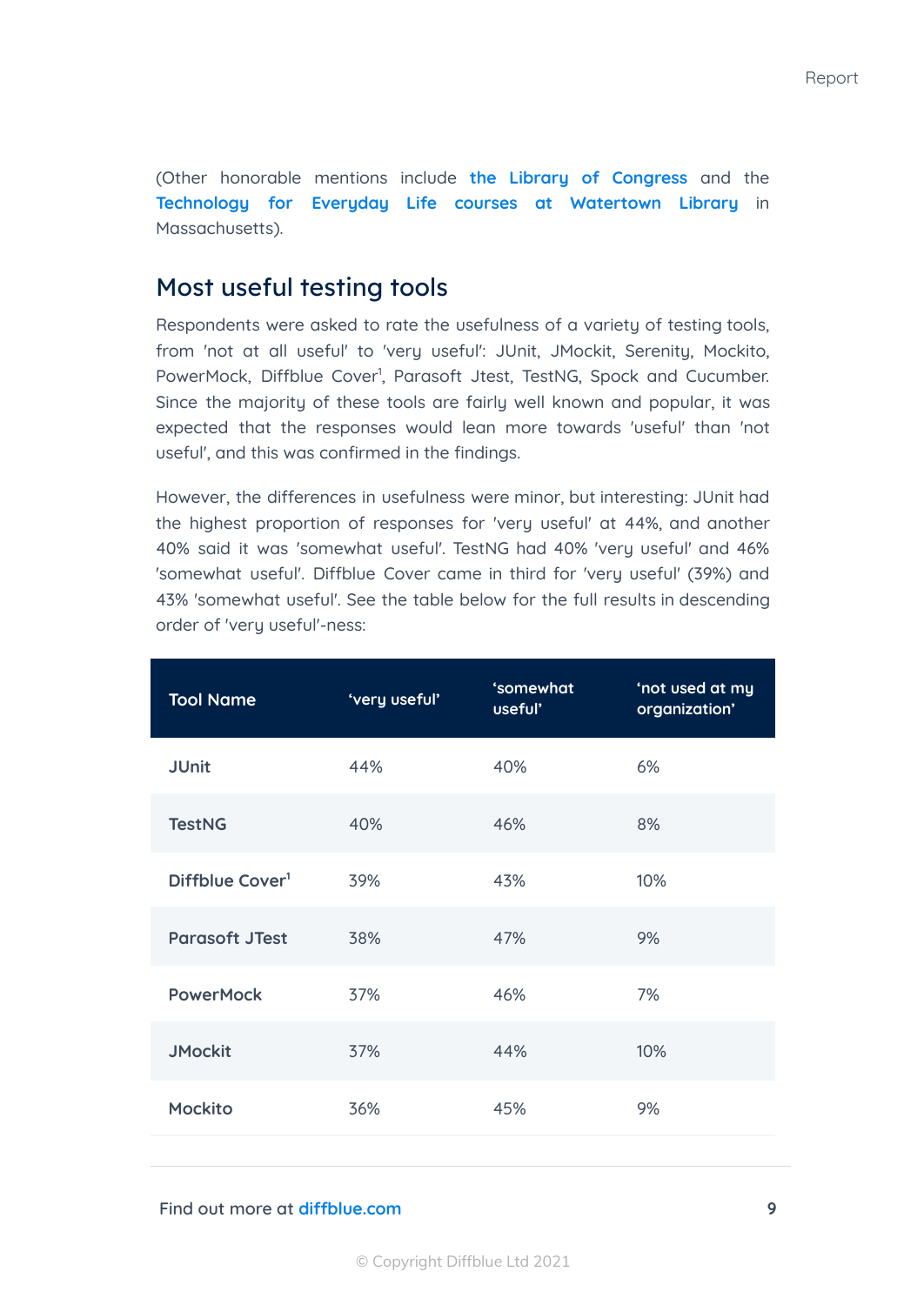(Other honorable mentions include **the Library of [Congress](https://www.loc.gov/)** and the **[Technology](https://www.watertownlib.org/323/Technology-for-Everyday-Life) for Everyday Life courses at Watertown Library** in Massachusetts).

#### Most useful testing tools

Respondents were asked to rate the usefulness of a variety of testing tools, from 'not at all useful' to 'very useful': JUnit, JMockit, Serenity, Mockito, PowerMock, Diffblue Cover<sup>1</sup>, Parasoft Jtest, TestNG, Spock and Cucumber. Since the majority of these tools are fairly well known and popular, it was expected that the responses would lean more towards 'useful' than 'not useful', and this was confirmed in the findings.

However, the differences in usefulness were minor, but interesting: JUnit had the highest proportion of responses for 'very useful' at 44%, and another 40% said it was 'somewhat useful'. TestNG had 40% 'very useful' and 46% 'somewhat useful'. Diffblue Cover came in third for 'very useful' (39%) and 43% 'somewhat useful'. See the table below for the full results in descending order of 'very useful'-ness:

| <b>Tool Name</b>            | 'very useful' | 'somewhat<br>useful' | 'not used at my<br>organization' |
|-----------------------------|---------------|----------------------|----------------------------------|
| <b>JUnit</b>                | 44%           | 40%                  | 6%                               |
| <b>TestNG</b>               | 40%           | 46%                  | 8%                               |
| Diffblue Cover <sup>1</sup> | 39%           | 43%                  | 10%                              |
| <b>Parasoft JTest</b>       | 38%           | 47%                  | 9%                               |
| <b>PowerMock</b>            | 37%           | 46%                  | 7%                               |
| <b>JMockit</b>              | 37%           | 44%                  | 10%                              |
| <b>Mockito</b>              | 36%           | 45%                  | 9%                               |
|                             |               |                      |                                  |

#### **Find out more at [diffblue.com](https://www.diffblue.com/) 9**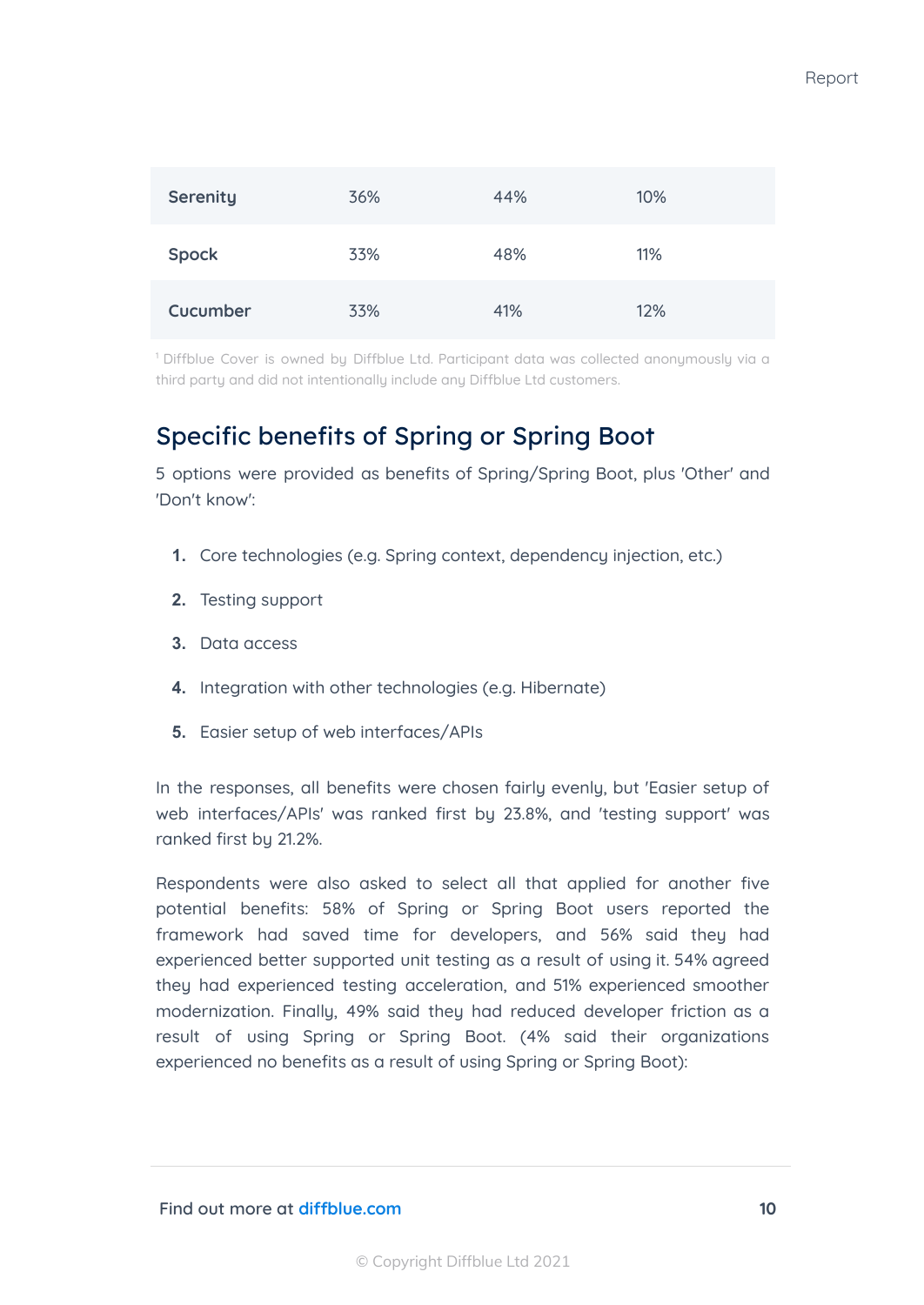| <b>Serenity</b> | 36% | 44% | 10% |
|-----------------|-----|-----|-----|
| <b>Spock</b>    | 33% | 48% | 11% |
| Cucumber        | 33% | 41% | 12% |

<sup>1</sup> Diffblue Cover is owned by Diffblue Ltd. Participant data was collected anonymously via a third party and did not intentionally include any Diffblue Ltd customers.

#### Specific benefits of Spring or Spring Boot

5 options were provided as benefits of Spring/Spring Boot, plus 'Other' and 'Don't know':

- **1.** Core technologies (e.g. Spring context, dependency injection, etc.)
- **2.** Testing support
- **3.** Data access
- **4.** Integration with other technologies (e.g. Hibernate)
- **5.** Easier setup of web interfaces/APIs

In the responses, all benefits were chosen fairly evenly, but 'Easier setup of web interfaces/APIs' was ranked first by 23.8%, and 'testing support' was ranked first by 21.2%.

Respondents were also asked to select all that applied for another five potential benefits: 58% of Spring or Spring Boot users reported the framework had saved time for developers, and 56% said they had experienced better supported unit testing as a result of using it. 54% agreed they had experienced testing acceleration, and 51% experienced smoother modernization. Finally, 49% said they had reduced developer friction as a result of using Spring or Spring Boot. (4% said their organizations experienced no benefits as a result of using Spring or Spring Boot):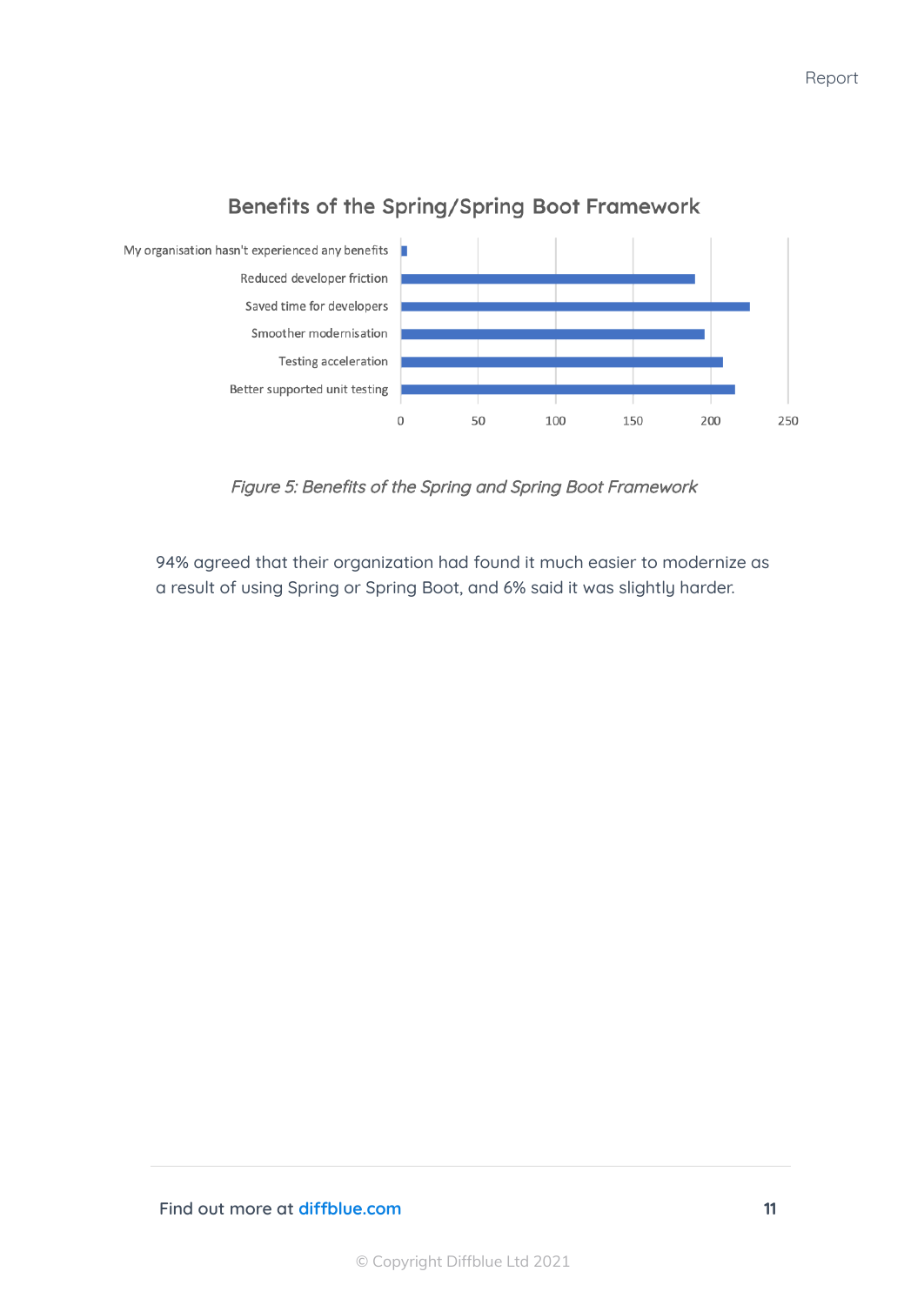

#### Benefits of the Spring/Spring Boot Framework

Figure 5: Benefits of the Spring and Spring Boot Framework

94% agreed that their organization had found it much easier to modernize as a result of using Spring or Spring Boot, and 6% said it was slightly harder.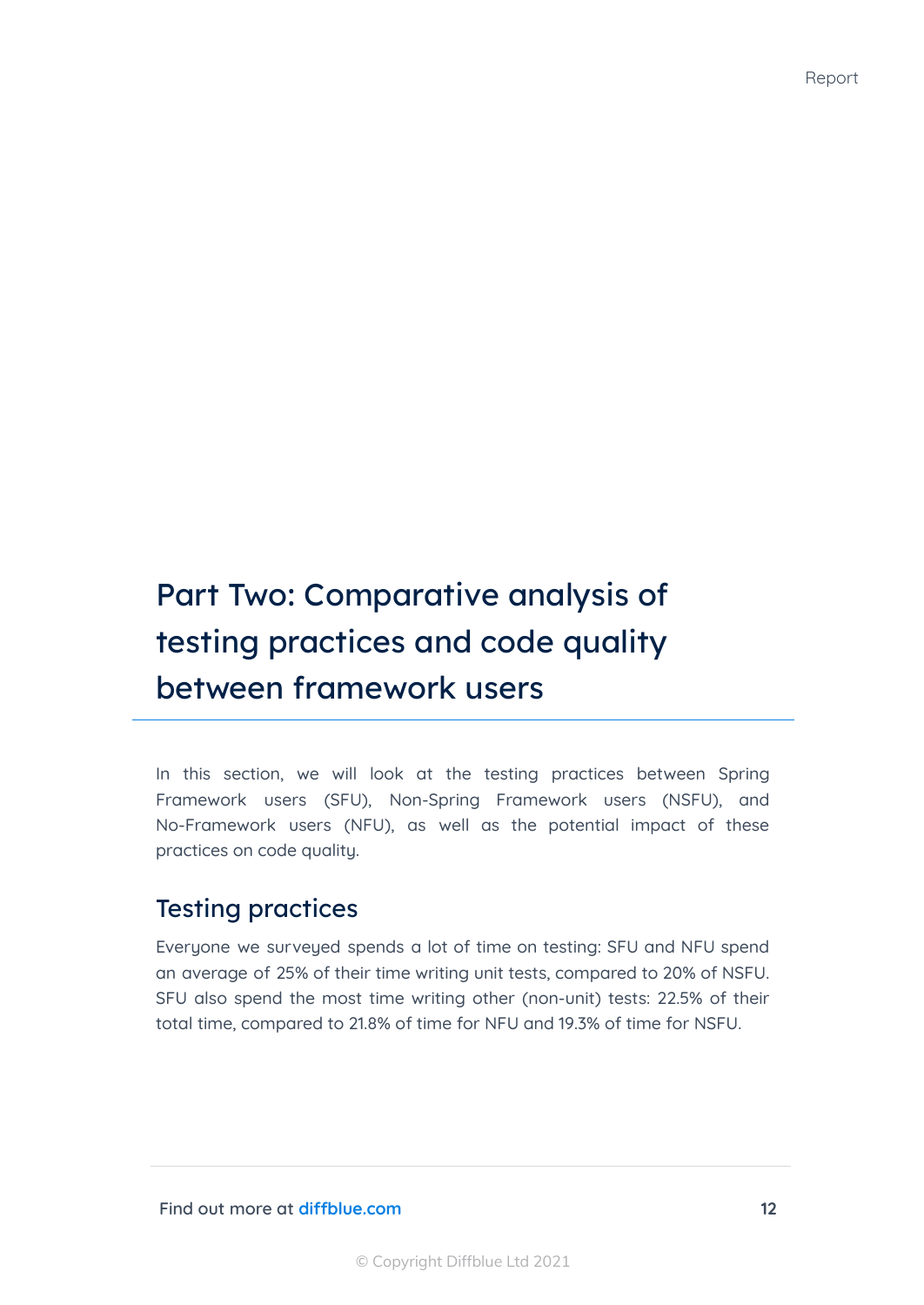# Part Two: Comparative analysis of testing practices and code quality between framework users

In this section, we will look at the testing practices between Spring Framework users (SFU), Non-Spring Framework users (NSFU), and No-Framework users (NFU), as well as the potential impact of these practices on code quality.

#### Testing practices

Everyone we surveyed spends a lot of time on testing: SFU and NFU spend an average of 25% of their time writing unit tests, compared to 20% of NSFU. SFU also spend the most time writing other (non-unit) tests: 22.5% of their total time, compared to 21.8% of time for NFU and 19.3% of time for NSFU.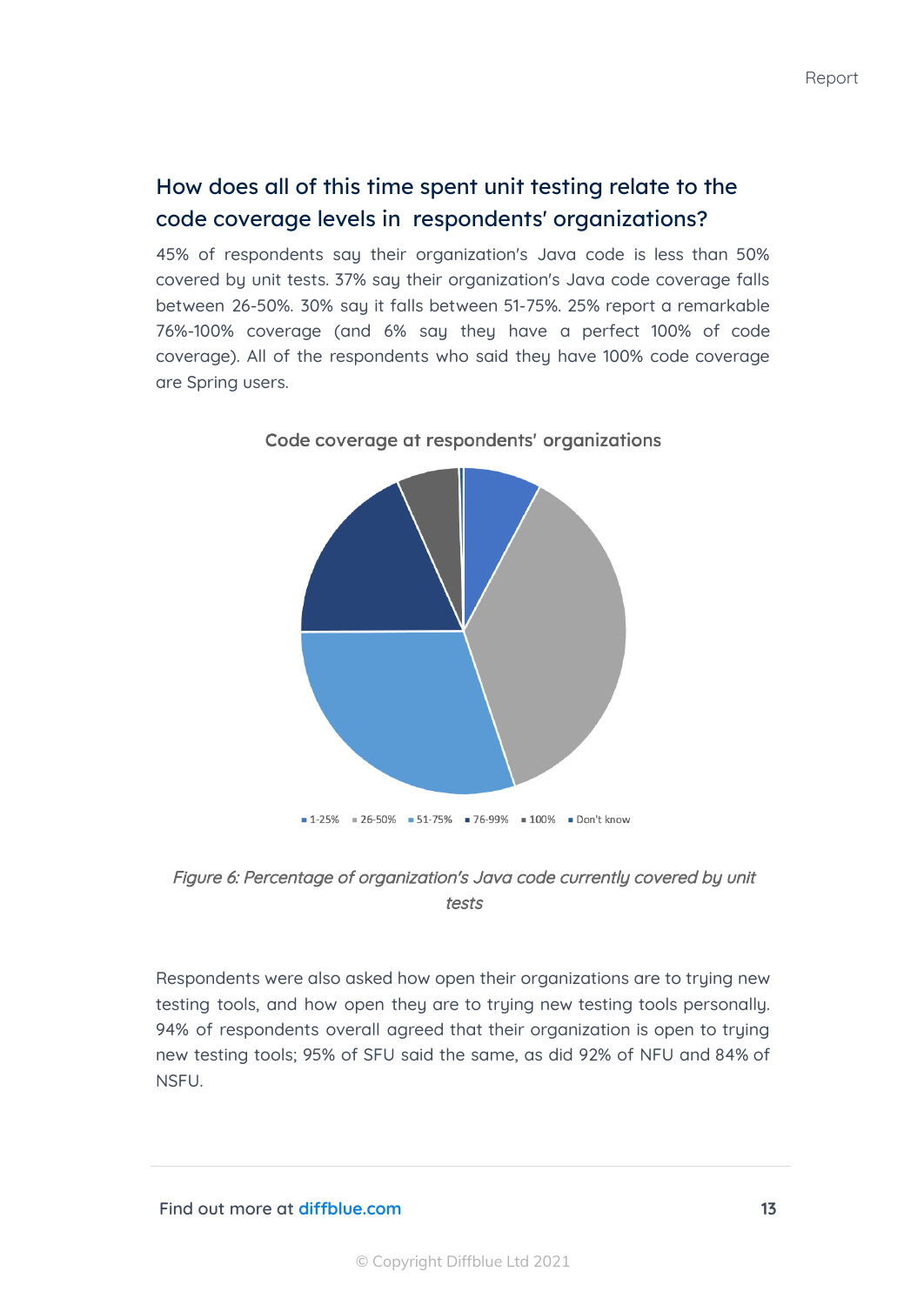#### How does all of this time spent unit testing relate to the code coverage levels in respondents' organizations?

45% of respondents say their organization's Java code is less than 50% covered by unit tests. 37% say their organization's Java code coverage falls between 26-50%. 30% say it falls between 51-75%. 25% report a remarkable 76%-100% coverage (and 6% say they have a perfect 100% of code coverage). All of the respondents who said they have 100% code coverage are Spring users.





Respondents were also asked how open their organizations are to trying new testing tools, and how open they are to trying new testing tools personally. 94% of respondents overall agreed that their organization is open to truing new testing tools; 95% of SFU said the same, as did 92% of NFU and 84% of NSFU.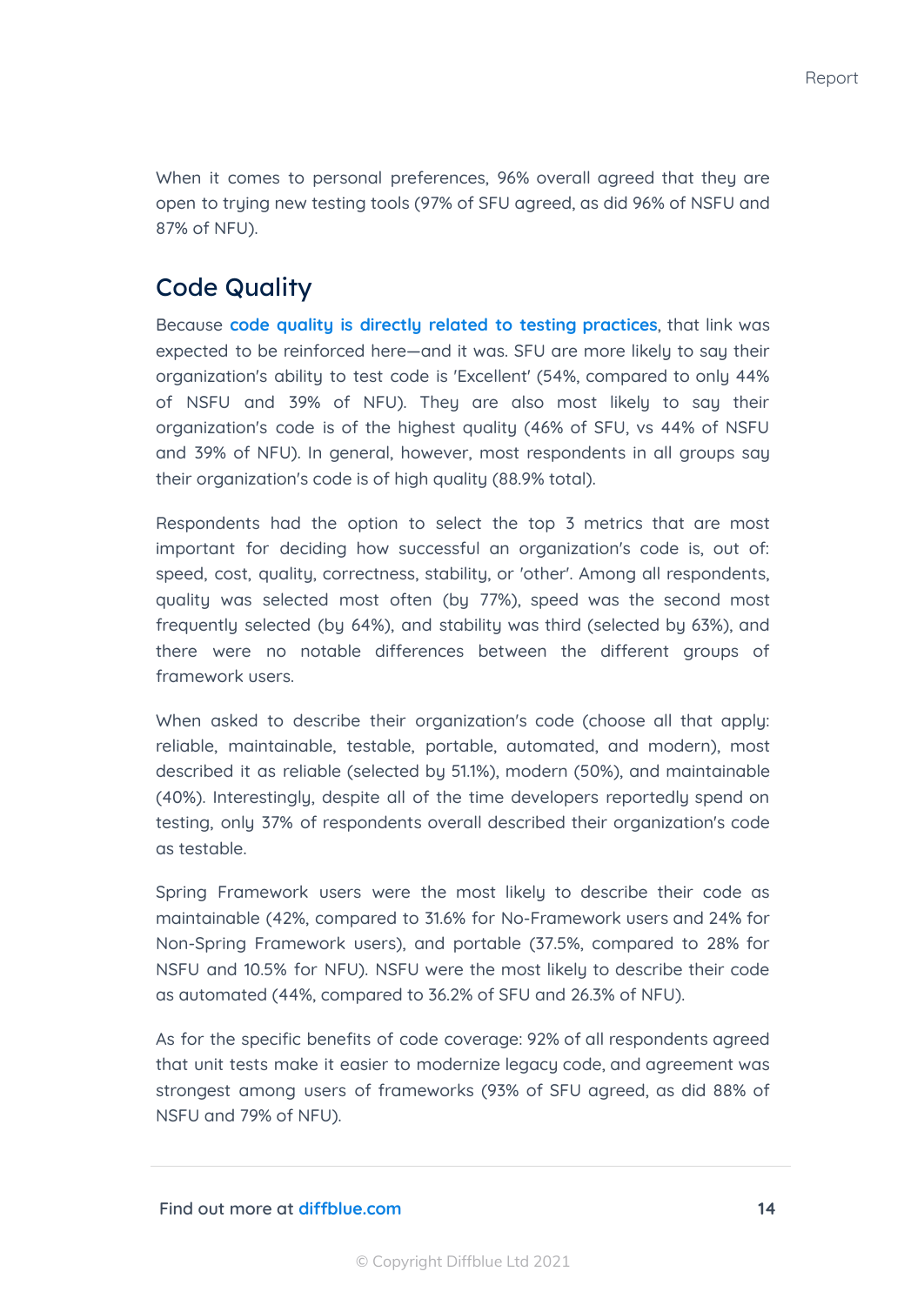When it comes to personal preferences, 96% overall agreed that they are open to trying new testing tools (97% of SFU agreed, as did 96% of NSFU and 87% of NFU).

#### Code Quality

Because **code quality is directly related to testing [practices](https://www.diffblue.com/Education/research_papers/2019-diffblue-developer-survey/)**, that link was expected to be reinforced here—and it was. SFU are more likely to say their organization's ability to test code is 'Excellent' (54%, compared to only 44% of NSFU and 39% of NFU). They are also most likely to say their organization's code is of the highest quality (46% of SFU, vs 44% of NSFU and 39% of NFU). In general, however, most respondents in all groups say their organization's code is of high quality (88.9% total).

Respondents had the option to select the top 3 metrics that are most important for deciding how successful an organization's code is, out of: speed, cost, quality, correctness, stability, or 'other'. Among all respondents, quality was selected most often (by 77%), speed was the second most frequently selected (by 64%), and stability was third (selected by 63%), and there were no notable differences between the different groups of framework users.

When asked to describe their organization's code (choose all that apply: reliable, maintainable, testable, portable, automated, and modern), most described it as reliable (selected by 51.1%), modern (50%), and maintainable (40%). Interestingly, despite all of the time developers reportedly spend on testing, only 37% of respondents overall described their organization's code as testable.

Spring Framework users were the most likely to describe their code as maintainable (42%, compared to 31.6% for No-Framework users and 24% for Non-Spring Framework users), and portable (37.5%, compared to 28% for NSFU and 10.5% for NFU). NSFU were the most likely to describe their code as automated (44%, compared to 36.2% of SFU and 26.3% of NFU).

As for the specific benefits of code coverage: 92% of all respondents agreed that unit tests make it easier to modernize legacy code, and agreement was strongest among users of frameworks (93% of SFU agreed, as did 88% of NSFU and 79% of NFU).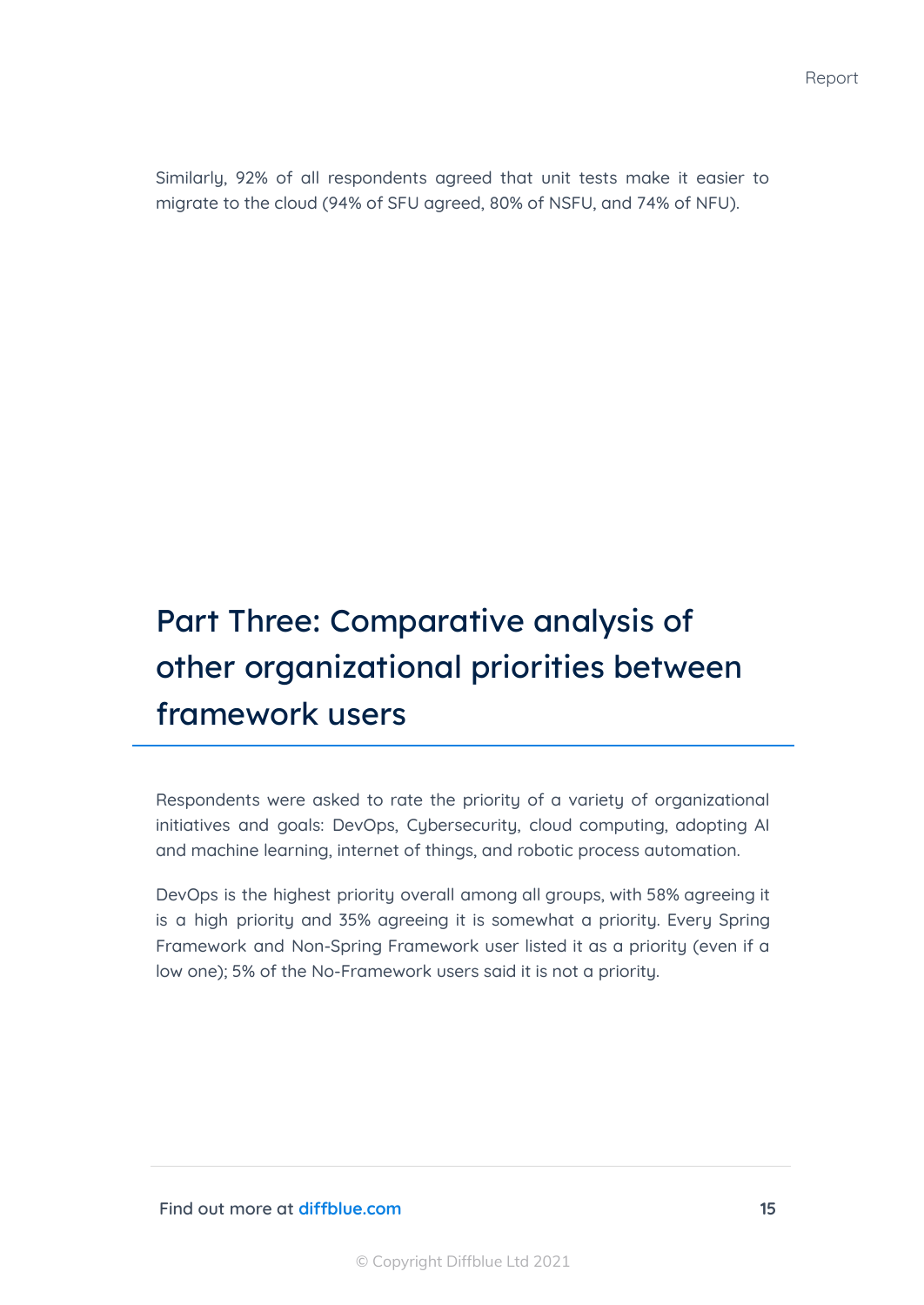Similarly, 92% of all respondents agreed that unit tests make it easier to migrate to the cloud (94% of SFU agreed, 80% of NSFU, and 74% of NFU).

# Part Three: Comparative analysis of other organizational priorities between framework users

Respondents were asked to rate the priority of a variety of organizational initiatives and goals: DevOps, Cubersecurity, cloud computing, adopting AI and machine learning, internet of things, and robotic process automation.

DevOps is the highest priority overall among all groups, with 58% agreeing it is a high priority and 35% agreeing it is somewhat a priority. Every Spring Framework and Non-Spring Framework user listed it as a priority (even if a low one); 5% of the No-Framework users said it is not a priority.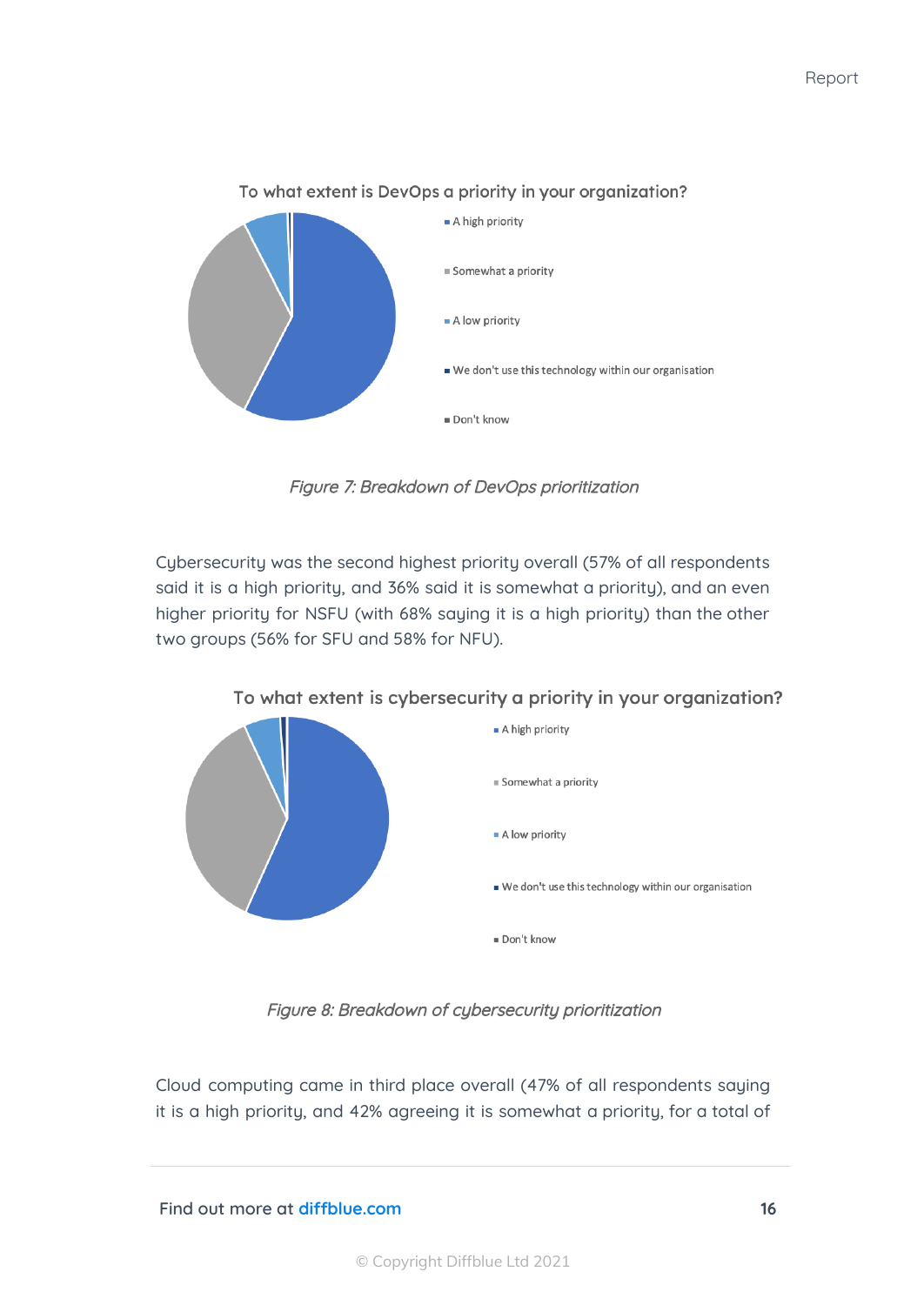

Figure 7: Breakdown of DevOps prioritization

Cybersecurity was the second highest priority overall (57% of all respondents said it is a high priority, and 36% said it is somewhat a priority), and an even higher priority for NSFU (with 68% saying it is a high priority) than the other two groups (56% for SFU and 58% for NFU).



To what extent is cybersecurity a priority in your organization?

Figure 8: Breakdown of cybersecurity prioritization

Cloud computing came in third place overall (47% of all respondents saying it is a high priority, and 42% agreeing it is somewhat a priority, for a total of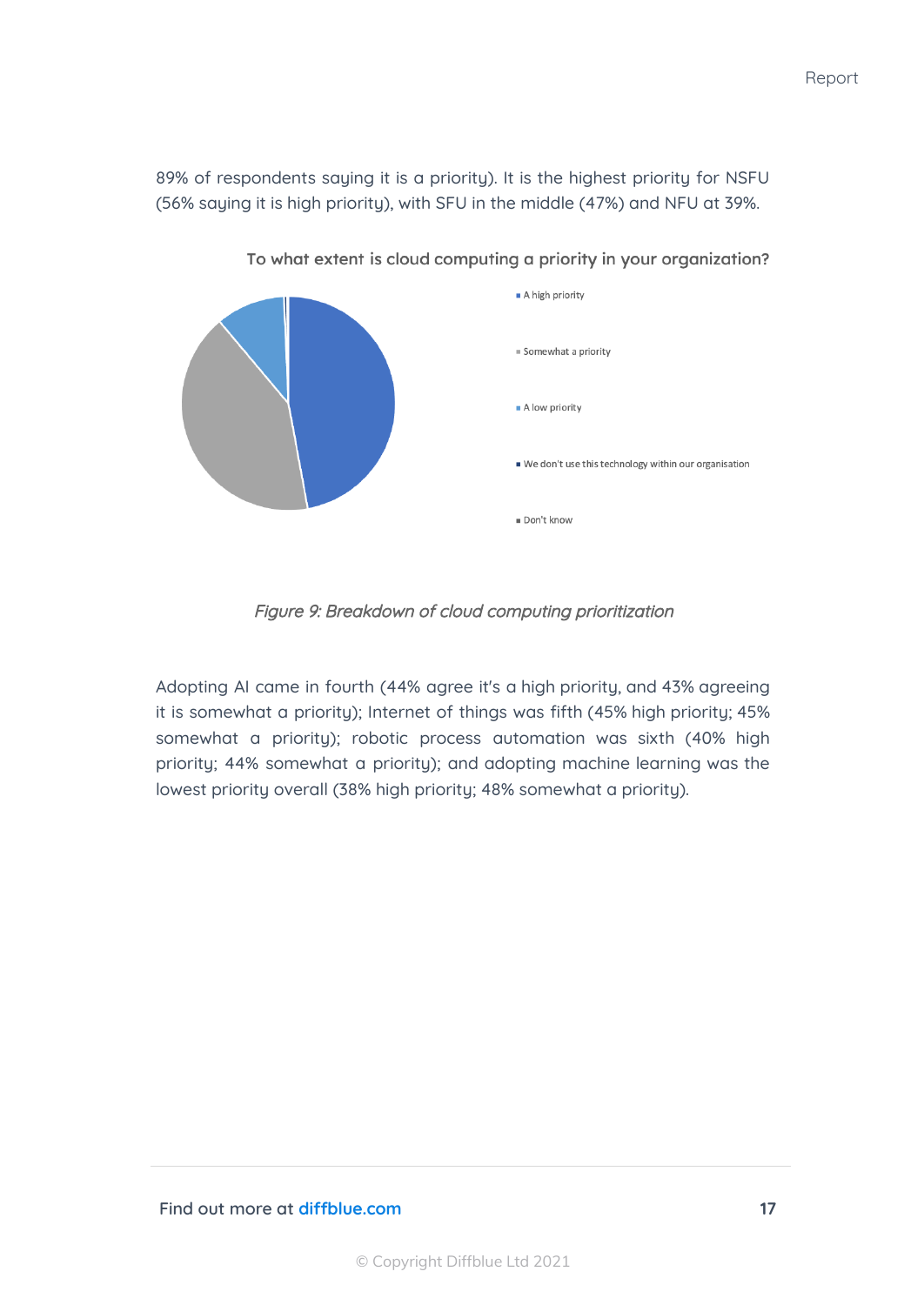89% of respondents saying it is a priority). It is the highest priority for NSFU (56% saying it is high priority), with SFU in the middle (47%) and NFU at 39%.



To what extent is cloud computing a priority in your organization?

Figure 9: Breakdown of cloud computing prioritization

Adopting AI came in fourth (44% agree it's a high priority, and 43% agreeing it is somewhat a priority); Internet of things was fifth (45% high priority; 45% somewhat a priority); robotic process automation was sixth (40% high priority; 44% somewhat a priority); and adopting machine learning was the lowest priority overall (38% high priority; 48% somewhat a priority).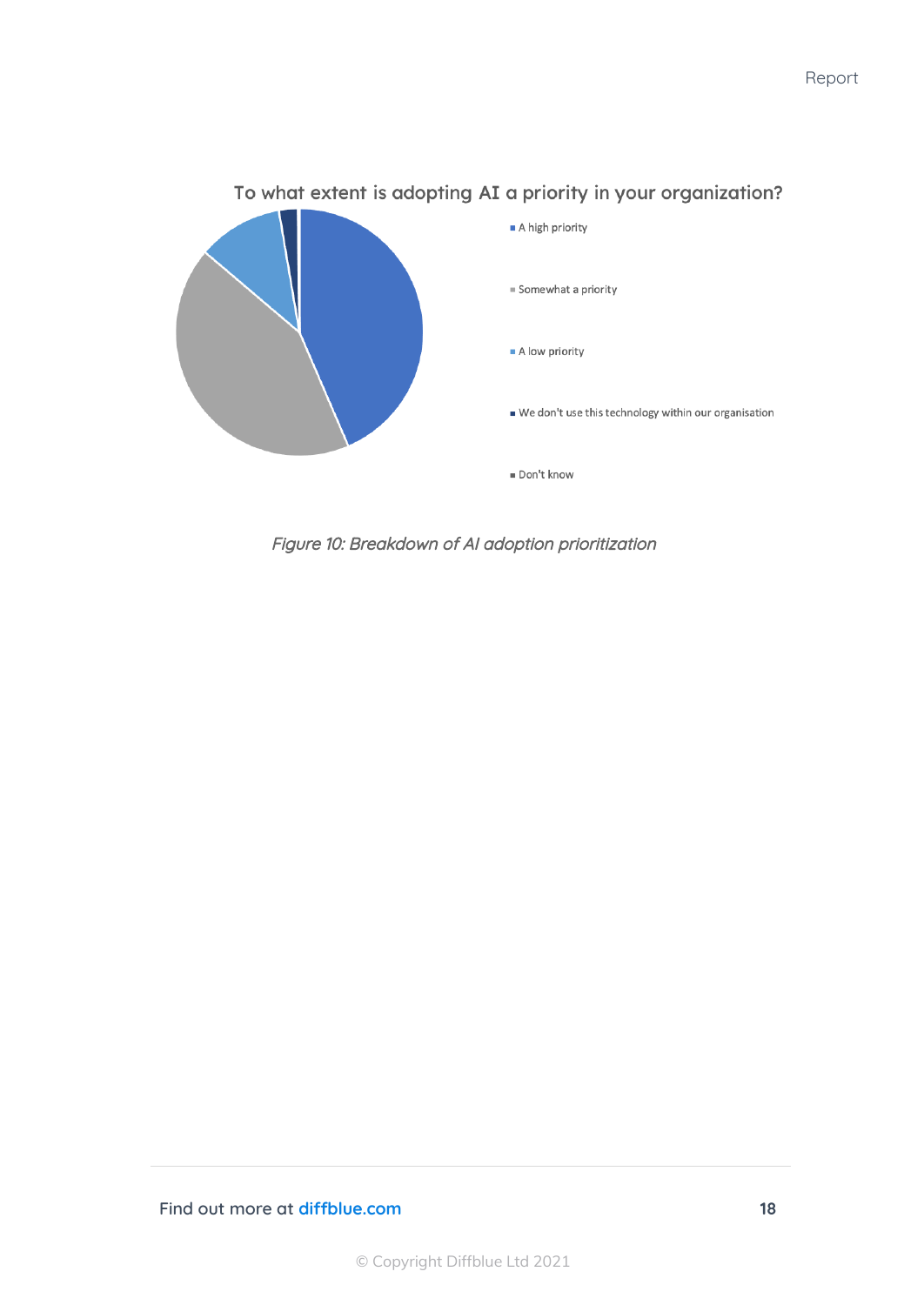

#### To what extent is adopting AI a priority in your organization?

Figure 10: Breakdown of AI adoption prioritization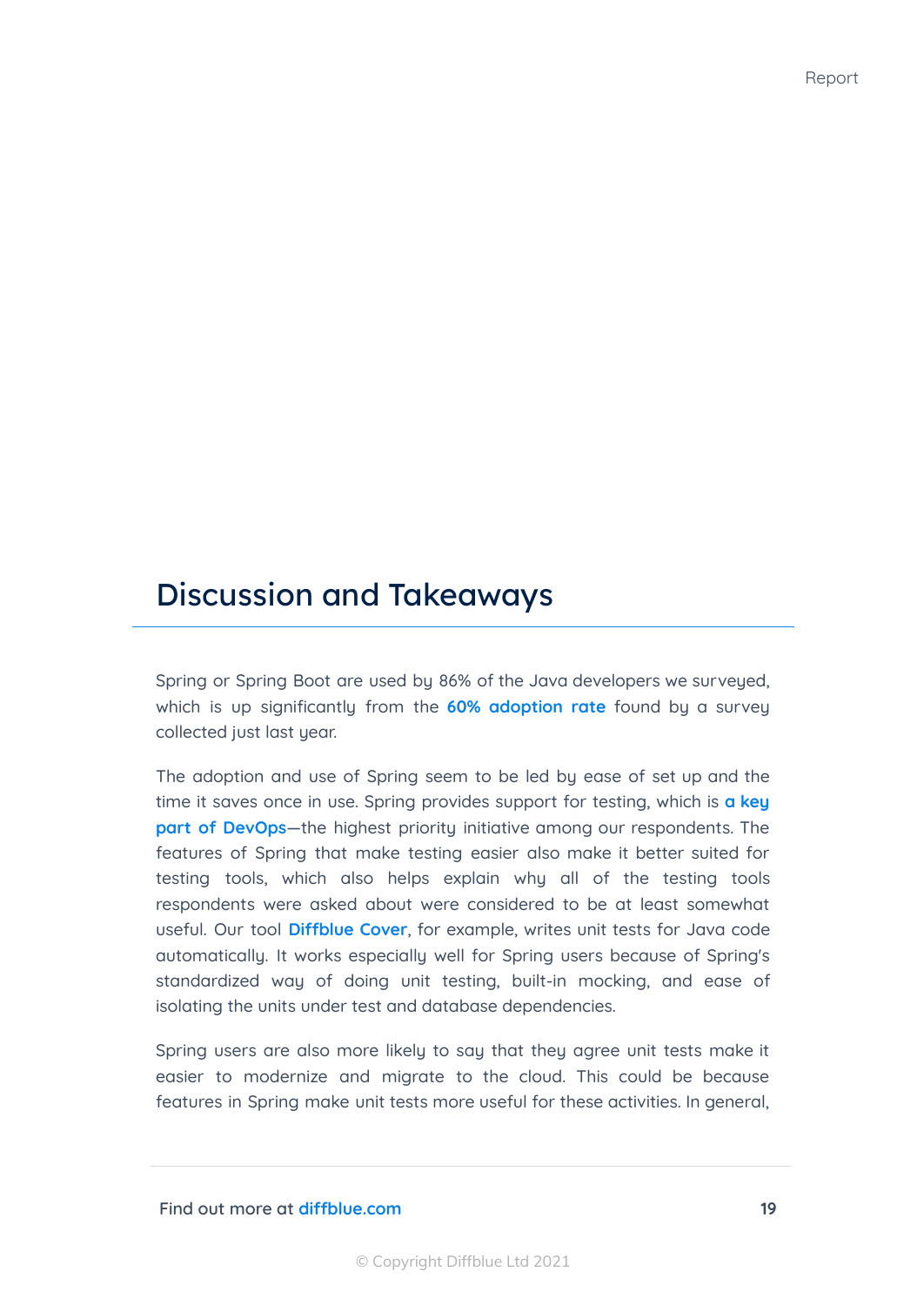# Discussion and Takeaways

Spring or Spring Boot are used by 86% of the Java developers we surveyed, which is up significantly from the **60% [adoption](https://snyk.io/blog/spring-dominates-the-java-ecosystem-with-60-using-it-for-their-main-applications/) rate** found by a survey collected just last year.

The adoption and use of Spring seem to be led by ease of set up and the time it saves once in use. Spring provides support for testing, which is **a [key](https://www.diffblue.com/DevOps/research_papers/2020-devops-and-testing-report/) part of [DevOps](https://www.diffblue.com/DevOps/research_papers/2020-devops-and-testing-report/)**—the highest priority initiative among our respondents. The features of Spring that make testing easier also make it better suited for testing tools, which also helps explain why all of the testing tools respondents were asked about were considered to be at least somewhat useful. Our tool **[Diffblue](https://www.diffblue.com/products/) Cover**, for example, writes unit tests for Java code automatically. It works especially well for Spring users because of Spring's standardized way of doing unit testing, built-in mocking, and ease of isolating the units under test and database dependencies.

Spring users are also more likely to say that they agree unit tests make it easier to modernize and migrate to the cloud. This could be because features in Spring make unit tests more useful for these activities. In general,